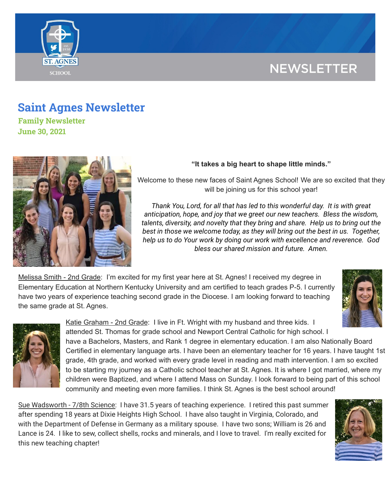# **NEWSLETTER**



## **Saint Agnes Newsletter**

**Family Newsletter June 30, 2021**



### **"It takes a big heart to shape little minds."**

Welcome to these new faces of Saint Agnes School! We are so excited that they will be joining us for this school year!

*Thank You, Lord, for all that has led to this wonderful day. It is with great anticipation, hope, and joy that we greet our new teachers. Bless the wisdom, talents, diversity, and novelty that they bring and share. Help us to bring out the best in those we welcome today, as they will bring out the best in us. Together, help us to do Your work by doing our work with excellence and reverence. God bless our shared mission and future. Amen.*

Melissa Smith - 2nd Grade: I'm excited for my first year here at St. Agnes! I received my degree in Elementary Education at Northern Kentucky University and am certified to teach grades P-5. I currently have two years of experience teaching second grade in the Diocese. I am looking forward to teaching the same grade at St. Agnes.





Katie Graham - 2nd Grade: I live in Ft. Wright with my husband and three kids. I attended St. Thomas for grade school and Newport Central Catholic for high school. I

have a Bachelors, Masters, and Rank 1 degree in elementary education. I am also Nationally Board Certified in elementary language arts. I have been an elementary teacher for 16 years. I have taught 1st grade, 4th grade, and worked with every grade level in reading and math intervention. I am so excited to be starting my journey as a Catholic school teacher at St. Agnes. It is where I got married, where my children were Baptized, and where I attend Mass on Sunday. I look forward to being part of this school community and meeting even more families. I think St. Agnes is the best school around!

Sue Wadsworth - 7/8th Science: I have 31.5 years of teaching experience. I retired this past summer after spending 18 years at Dixie Heights High School. I have also taught in Virginia, Colorado, and with the Department of Defense in Germany as a military spouse. I have two sons; William is 26 and Lance is 24. I like to sew, collect shells, rocks and minerals, and I love to travel. I'm really excited for this new teaching chapter!

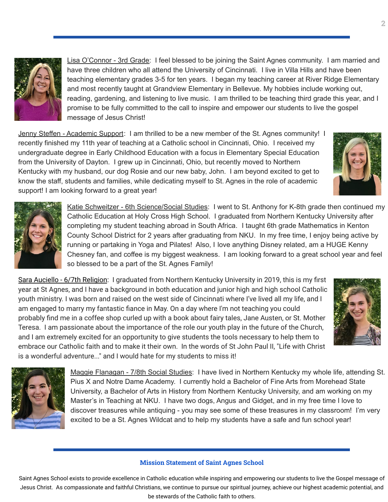

Lisa O'Connor - 3rd Grade: I feel blessed to be joining the Saint Agnes community. I am married and have three children who all attend the University of Cincinnati. I live in Villa Hills and have been teaching elementary grades 3-5 for ten years. I began my teaching career at River Ridge Elementary and most recently taught at Grandview Elementary in Bellevue. My hobbies include working out, reading, gardening, and listening to live music. I am thrilled to be teaching third grade this year, and I promise to be fully committed to the call to inspire and empower our students to live the gospel message of Jesus Christ!

Jenny Steffen - Academic Support: I am thrilled to be a new member of the St. Agnes community! I recently finished my 11th year of teaching at a Catholic school in Cincinnati, Ohio. I received my undergraduate degree in Early Childhood Education with a focus in Elementary Special Education from the University of Dayton. I grew up in Cincinnati, Ohio, but recently moved to Northern Kentucky with my husband, our dog Rosie and our new baby, John. I am beyond excited to get to know the staff, students and families, while dedicating myself to St. Agnes in the role of academic support! I am looking forward to a great year!



Katie Schweitzer - 6th Science/Social Studies: I went to St. Anthony for K-8th grade then continued my Catholic Education at Holy Cross High School. I graduated from Northern Kentucky University after completing my student teaching abroad in South Africa. I taught 6th grade Mathematics in Kenton County School District for 2 years after graduating from NKU. In my free time, I enjoy being active by running or partaking in Yoga and Pilates! Also, I love anything Disney related, am a HUGE Kenny Chesney fan, and coffee is my biggest weakness. I am looking forward to a great school year and feel so blessed to be a part of the St. Agnes Family!

Sara Auciello - 6/7th Religion: I graduated from Northern Kentucky University in 2019, this is my first year at St Agnes, and I have a background in both education and junior high and high school Catholic youth ministry. I was born and raised on the west side of Cincinnati where I've lived all my life, and I am engaged to marry my fantastic fiance in May. On a day where I'm not teaching you could probably find me in a coffee shop curled up with a book about fairy tales, Jane Austen, or St. Mother Teresa. I am passionate about the importance of the role our youth play in the future of the Church, and I am extremely excited for an opportunity to give students the tools necessary to help them to embrace our Catholic faith and to make it their own. In the words of St John Paul II, "Life with Christ is a wonderful adventure..." and I would hate for my students to miss it!





Maggie Flanagan - 7/8th Social Studies: I have lived in Northern Kentucky my whole life, attending St. Pius X and Notre Dame Academy. I currently hold a Bachelor of Fine Arts from Morehead State University, a Bachelor of Arts in History from Northern Kentucky University, and am working on my Master's in Teaching at NKU. I have two dogs, Angus and Gidget, and in my free time I love to discover treasures while antiquing - you may see some of these treasures in my classroom! I'm very excited to be a St. Agnes Wildcat and to help my students have a safe and fun school year!

#### **Mission Statement of Saint Agnes School**

Saint Agnes School exists to provide excellence in Catholic education while inspiring and empowering our students to live the Gospel message of Jesus Christ. As compassionate and faithful Christians, we continue to pursue our spiritual journey, achieve our highest academic potential, and be stewards of the Catholic faith to others.